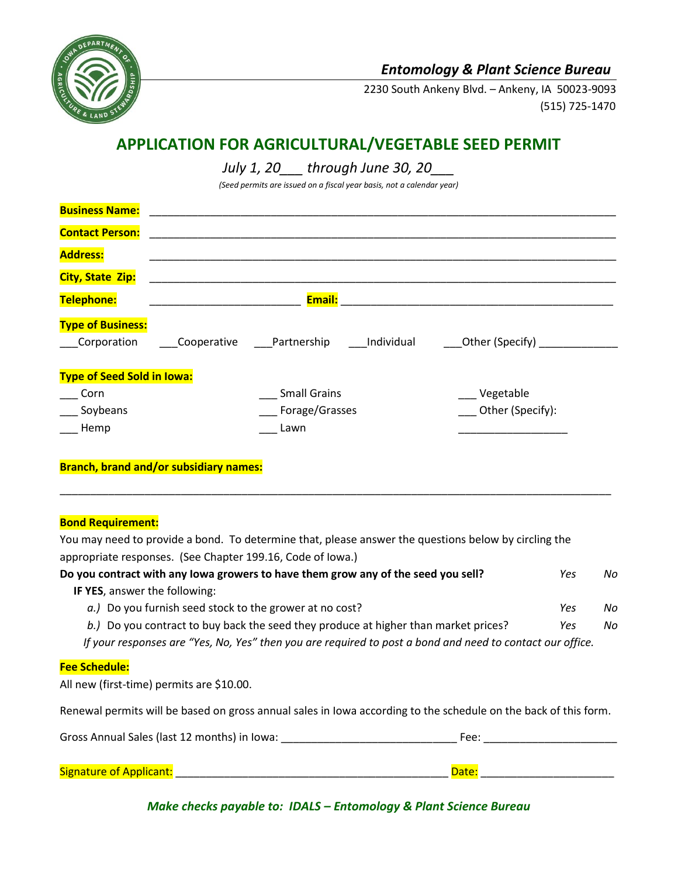

## *Entomology & Plant Science Bureau*

2230 South Ankeny Blvd. – Ankeny, IA 50023-9093 (515) 725-1470

# **APPLICATION FOR AGRICULTURAL/VEGETABLE SEED PERMIT**

*July 1, 20\_\_\_ through June 30, 20\_\_\_*

*(Seed permits are issued on a fiscal year basis, not a calendar year)*

| <b>Business Name:</b>                   |             |                           |                    |
|-----------------------------------------|-------------|---------------------------|--------------------|
| <b>Contact Person:</b>                  |             |                           |                    |
| <b>Address:</b>                         |             |                           |                    |
| <b>City, State Zip:</b>                 |             |                           |                    |
| Telephone:                              |             | <b>Email:</b>             |                    |
| <b>Type of Business:</b><br>Corporation | Cooperative | Partnership<br>Individual | _Other (Specify) _ |
| <b>Type of Seed Sold in Iowa:</b>       |             |                           |                    |
| Corn                                    |             | <b>Small Grains</b>       | Vegetable          |
| Soybeans                                |             | Forage/Grasses            | Other (Specify):   |
| Hemp                                    |             | Lawn                      |                    |

#### **Branch, brand and/or subsidiary names:**

#### **Bond Requirement:**

You may need to provide a bond. To determine that, please answer the questions below by circling the appropriate responses. (See Chapter 199.16, Code of Iowa.)

\_\_\_\_\_\_\_\_\_\_\_\_\_\_\_\_\_\_\_\_\_\_\_\_\_\_\_\_\_\_\_\_\_\_\_\_\_\_\_\_\_\_\_\_\_\_\_\_\_\_\_\_\_\_\_\_\_\_\_\_\_\_\_\_\_\_\_\_\_\_\_\_\_\_\_\_\_\_\_\_\_\_\_\_\_\_\_\_\_\_\_

| Do you contract with any lowa growers to have them grow any of the seed you sell?                               | Yes | No |
|-----------------------------------------------------------------------------------------------------------------|-----|----|
| IF YES, answer the following:                                                                                   |     |    |
| a.) Do you furnish seed stock to the grower at no cost?                                                         | Yes | No |
| b.) Do you contract to buy back the seed they produce at higher than market prices?                             | Yes | No |
| If your responses are "Yes, No, Yes" then you are required to post a bond and need to contact our office.       |     |    |
| <b>Fee Schedule:</b>                                                                                            |     |    |
| All new (first-time) permits are \$10.00.                                                                       |     |    |
| Renewal permits will be based on gross annual sales in lowa according to the schedule on the back of this form. |     |    |
| Gross Annual Sales (last 12 months) in Iowa:<br>Fee:                                                            |     |    |
|                                                                                                                 |     |    |

### *Make checks payable to: IDALS – Entomology & Plant Science Bureau*

Signature of Applicant: \_\_\_\_\_\_\_\_\_\_\_\_\_\_\_\_\_\_\_\_\_\_\_\_\_\_\_\_\_\_\_\_\_\_\_\_\_\_\_\_\_\_\_\_\_ Date: \_\_\_\_\_\_\_\_\_\_\_\_\_\_\_\_\_\_\_\_\_\_